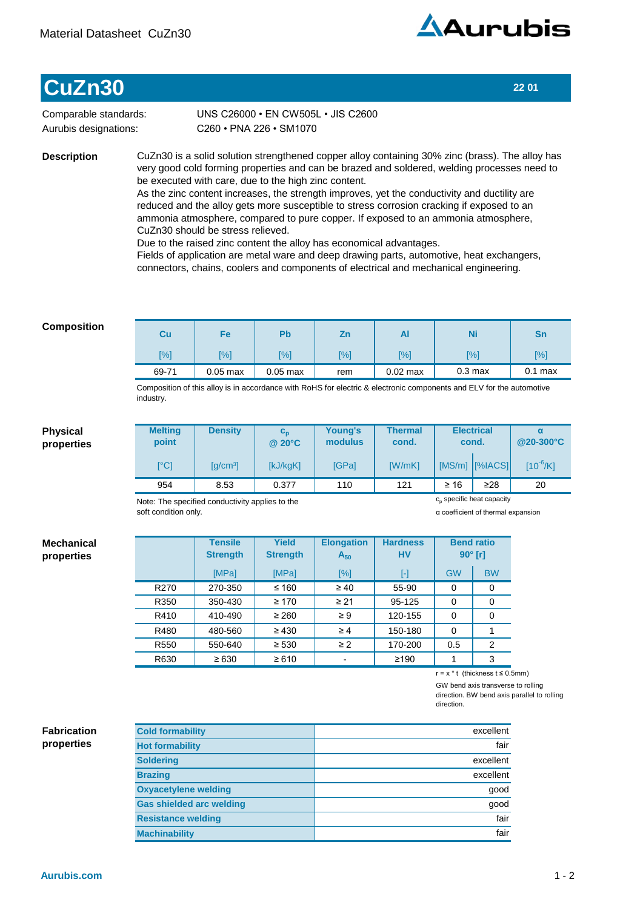

## **CuZn30 22 01**

Comparable standards: Aurubis designations:

C260•PNA226•SM1070 UNS C26000 · EN CW505L · JIS C2600

**Description**

CuZn30 is a solid solution strengthened copper alloy containing 30% zinc (brass). The alloy has very good cold forming properties and can be brazed and soldered, welding processes need to be executed with care, due to the high zinc content.

As the zinc content increases, the strength improves, yet the conductivity and ductility are reduced and the alloy gets more susceptible to stress corrosion cracking if exposed to an ammonia atmosphere, compared to pure copper. If exposed to an ammonia atmosphere, CuZn30 should be stress relieved.

Due to the raised zinc content the alloy has economical advantages.

Fields of application are metal ware and deep drawing parts, automotive, heat exchangers, connectors, chains, coolers and components of electrical and mechanical engineering.

## **Composition**

| Cu    | Fe         | Pb         | Ζn  | Al         | Ni                | Sn            |
|-------|------------|------------|-----|------------|-------------------|---------------|
| [%]   | [%]        | [%]        | [%] | [%]        | [%]               | $\frac{1}{2}$ |
| 69-71 | $0.05$ max | $0.05$ max | rem | $0.02$ max | $0.3 \text{ max}$ | $0.1$ max     |

Composition of this alloy is in accordance with RoHS for electric & electronic components and ELV for the automotive industry.

## **Physical properties**

**Mechanical properties**

| <b>Melting</b><br>point      | <b>Density</b>                              | $c_{\rm n}$<br>$@$ 20 $°C$ | Young's<br>modulus | <b>Thermal</b><br>cond. | <b>Electrical</b><br>cond. |                | @20-300°C     |  |
|------------------------------|---------------------------------------------|----------------------------|--------------------|-------------------------|----------------------------|----------------|---------------|--|
| $\mathsf{I}^\circ\mathsf{C}$ | $\left[\frac{\text{q}}{\text{cm}^3}\right]$ | [kJ/kgK]                   | [GPa]              | [W/mK]                  |                            | [MS/m] [%IACS] | $[10^{-6}/K]$ |  |
| 954                          | 8.53                                        | 0.377                      | 110                | 121                     | $\geq 16$                  | $\geq$ 28      | 20            |  |

Note: The specified conductivity applies to the soft condition only.

c<sub>p</sub> specific heat capacity

α coefficient of thermal expansion

|                  | <b>Tensile</b><br><b>Strength</b> | <b>Yield</b><br><b>Strength</b> | <b>Elongation</b><br>$A_{50}$ | <b>Hardness</b><br><b>HV</b> | $90^\circ$ [r] | <b>Bend ratio</b> |
|------------------|-----------------------------------|---------------------------------|-------------------------------|------------------------------|----------------|-------------------|
|                  | [MPa]                             | [MPa]                           | [%]                           | $[\cdot]$                    | <b>GW</b>      | <b>BW</b>         |
| R <sub>270</sub> | 270-350                           | $≤ 160$                         | $\geq 40$                     | 55-90                        | $\Omega$       | 0                 |
| R350             | 350-430                           | $\geq 170$                      | $\geq 21$                     | 95-125                       | $\Omega$       | 0                 |
| R410             | 410-490                           | $\geq 260$                      | $\geq 9$                      | 120-155                      | 0              | 0                 |
| R480             | 480-560                           | $\geq 430$                      | $\geq 4$                      | 150-180                      | $\Omega$       |                   |
| R <sub>550</sub> | 550-640                           | $\geq 530$                      | $\geq$ 2                      | 170-200                      | 0.5            | 2                 |
| R630             | $\ge 630$                         | $\geq 610$                      |                               | ≥190                         |                | 3                 |

r=x\*t(thicknesst≤0.5mm)

GW bend axis transverse to rolling direction. BW bend axis parallel to rolling direction.

**Fabrication properties**

| <b>Cold formability</b>         | excellent |
|---------------------------------|-----------|
| <b>Hot formability</b>          | fair      |
| <b>Soldering</b>                | excellent |
| <b>Brazing</b>                  | excellent |
| <b>Oxyacetylene welding</b>     | good      |
| <b>Gas shielded arc welding</b> | good      |
| <b>Resistance welding</b>       | fair      |
| <b>Machinability</b>            | fair      |